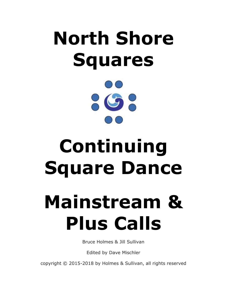# **North Shore Squares**



# **Continuing Square Dance**

# **Mainstream & Plus Calls**

Bruce Holmes & Jill Sullivan

Edited by Dave Mischler

copyright © 2015-2018 by Holmes & Sullivan, all rights reserved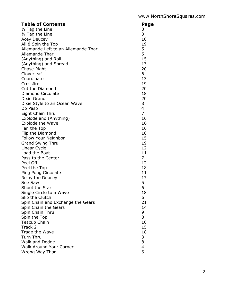| <b>Table of Contents</b>            | Page           |
|-------------------------------------|----------------|
| 1/4 Tag the Line                    | 3              |
| 3/4 Tag the Line                    | 3              |
| <b>Acey Deucey</b>                  | 10             |
| All 8 Spin the Top                  | 19             |
| Allemande Left to an Allemande Thar | 5              |
| Allemande Thar                      | 5              |
| (Anything) and Roll                 | 15             |
| (Anything) and Spread               | 13             |
| Chase Right                         | 20             |
| Cloverleaf                          | 6              |
| Coordinate                          | 13             |
| Crossfire                           | 19             |
| Cut the Diamond                     | 20             |
| <b>Diamond Circulate</b>            | 18             |
| Dixie Grand                         | 20             |
| Dixie Style to an Ocean Wave        | 8              |
| Do Paso                             | $\overline{4}$ |
| Eight Chain Thru                    | $\overline{7}$ |
| Explode and (Anything)              | 16<br>16       |
| Explode the Wave<br>Fan the Top     | 16             |
| Flip the Diamond                    | 18             |
| Follow Your Neighbor                | 15             |
| <b>Grand Swing Thru</b>             | 19             |
| Linear Cycle                        | 12             |
| Load the Boat                       | 11             |
| Pass to the Center                  | $\overline{7}$ |
| Peel Off                            | 12             |
| Peel the Top                        | 18             |
| Ping Pong Circulate                 | 11             |
| Relay the Deucey                    | 17             |
| See Saw                             | 5              |
| Shoot the Star                      | 6              |
| Single Circle to a Wave             | 18             |
| Slip the Clutch                     | 6              |
| Spin Chain and Exchange the Gears   | 21             |
| Spin Chain the Gears                | 14             |
| Spin Chain Thru                     | 9              |
| Spin the Top                        | 8              |
| <b>Teacup Chain</b>                 | 10             |
| Track 2                             | 15             |
| Trade the Wave                      | 18             |
| Turn Thru                           | 3              |
| Walk and Dodge                      | 8              |
| <b>Walk Around Your Corner</b>      | 4              |
| Wrong Way Thar                      | 6              |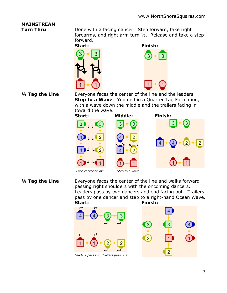### **MAINSTREAM**

**Turn Thru** Done with a facing dancer. Step forward, take right forearms, and right arm turn ½. Release and take a step forward.





1/4 Tag the Line Everyone faces the center of the line and the leaders **Step to a Wave**. You end in a Quarter Tag Formation, with a wave down the middle and the trailers facing in toward the wave.



**3/4 Tag the Line** Everyone faces the center of the line and walks forward passing right shoulders with the oncoming dancers. Leaders pass by two dancers and end facing out. Trailers pass by one dancer and step to a right-hand Ocean Wave. **Start: Finish:**

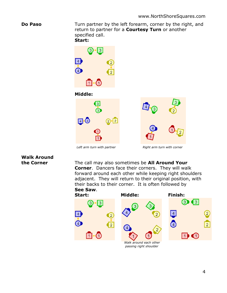**Do Paso** Turn partner by the left forearm, corner by the right, and return to partner for a **Courtesy Turn** or another specified call.

**Start:**



## **Walk Around**

**the Corner** The call may also sometimes be **All Around Your Corner**. Dancers face their corners. They will walk forward around each other while keeping right shoulders adjacent. They will return to their original position, with their backs to their corner. It is often followed by **See Saw**.

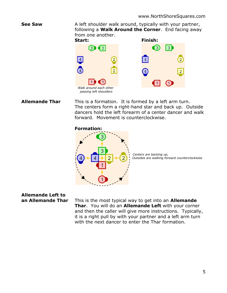**See Saw** A left shoulder walk around, typically with your partner, following a **Walk Around the Corner**. End facing away from one another.



**Allemande Thar** This is a formation. It is formed by a left arm turn. The centers form a right-hand star and back up. Outside dancers hold the left forearm of a center dancer and walk forward. Movement is counterclockwise.

### **Formation:**



*Centers are backing up, Outsides are walking forward counterclockwise*

## **Allemande Left to**

**an Allemande Thar** This is the most typical way to get into an **Allemande Thar**. You will do an **Allemande Left** with your corner and then the caller will give more instructions. Typically, it is a right pull by with your partner and a left arm turn with the next dancer to enter the Thar formation.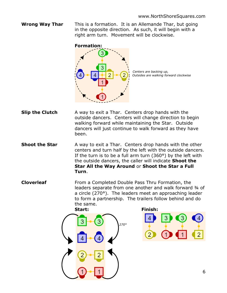**Wrong Way Thar** This is a formation. It is an Allemande Thar, but going in the opposite direction. As such, it will begin with a right arm turn. Movement will be clockwise.



*Centers are backing up, Outsides are walking forward clockwise*

- **Slip the Clutch** A way to exit a Thar. Centers drop hands with the outside dancers. Centers will change direction to begin walking forward while maintaining the Star. Outside dancers will just continue to walk forward as they have been.
- **Shoot the Star** A way to exit a Thar. Centers drop hands with the other centers and turn half by the left with the outside dancers. If the turn is to be a full arm turn (360°) by the left with the outside dancers, the caller will indicate **Shoot the Star All the Way Around** or **Shoot the Star a Full Turn**.
- **Cloverleaf** From a Completed Double Pass Thru Formation, the leaders separate from one another and walk forward 3/4 of a circle (270°). The leaders meet an approaching leader to form a partnership. The trailers follow behind and do the same.



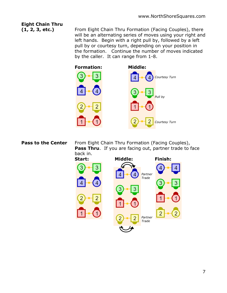### **Eight Chain Thru**

**(1, 2, 3, etc.)** From Eight Chain Thru Formation (Facing Couples), there will be an alternating series of moves using your right and left hands. Begin with a right pull by, followed by a left pull by or courtesy turn, depending on your position in the formation. Continue the number of moves indicated by the caller. It can range from 1-8.



**Pass to the Center** From Eight Chain Thru Formation (Facing Couples), **Pass Thru**. If you are facing out, partner trade to face back in.



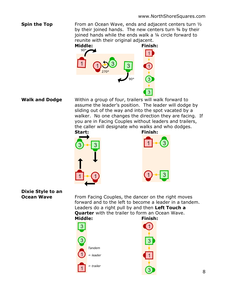**Spin the Top** From an Ocean Wave, ends and adjacent centers turn 1/2 by their joined hands. The new centers turn 34 by their joined hands while the ends walk a ¼ circle forward to reunite with their original adjacent.



**Walk and Dodge** Within a group of four, trailers will walk forward to assume the leader's position. The leader will dodge by sliding out of the way and into the spot vacated by a walker. No one changes the direction they are facing. If you are in Facing Couples without leaders and trailers, the caller will designate who walks and who dodges.







# **Dixie Style to an**

**Ocean Wave** From Facing Couples, the dancer on the right moves forward and to the left to become a leader in a tandem. Leaders do a right pull by and then **Left Touch a Quarter** with the trailer to form an Ocean Wave. **Middle: Finish:**

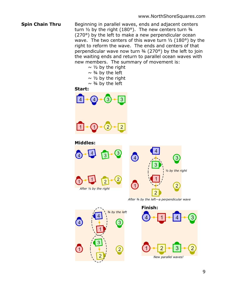- **Spin Chain Thru** Beginning in parallel waves, ends and adjacent centers turn ½ by the right (180°). The new centers turn ¾ (270°) by the left to make a new perpendicular ocean wave. The two centers of this wave turn  $\frac{1}{2}$  (180°) by the right to reform the wave. The ends and centers of that perpendicular wave now turn  $\frac{3}{4}$  (270°) by the left to join the waiting ends and return to parallel ocean waves with new members. The summary of movement is:
	- $\sim$  1/2 by the right  $\sim$  3/4 by the left  $\sim$  1/2 by the right  $\sim$  3/4 by the left

### **Start:**



### **Middles:**



*After ¾ by the left—a perpendicular wave*

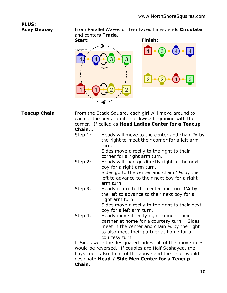# **PLUS:**

**Acey Deucey** From Parallel Waves or Two Faced Lines, ends **Circulate** and centers **Trade**.

**Start: Finish:** *circulate trade* 



**Teacup Chain** From the Static Square, each girl will move around to each of the boys counterclockwise beginning with their corner. If called as **Head Ladies Center for a Teacup Chain…**

Step 1: Heads will move to the center and chain 34 by the right to meet their corner for a left arm turn. Sides move directly to the right to their corner for a right arm turn. Step 2: Heads will then go directly right to the next boy for a right arm turn.

Sides go to the center and chain 1¼ by the left to advance to their next boy for a right arm turn.

- Step 3: Heads return to the center and turn 1<sup>1/4</sup> by the left to advance to their next boy for a right arm turn. Sides move directly to the right to their next boy for a left arm turn.
- Step 4: Heads move directly right to meet their partner at home for a courtesy turn. Sides meet in the center and chain ¾ by the right to also meet their partner at home for a courtesy turn.

If Sides were the designated ladies, all of the above roles would be reversed. If couples are Half Sashayed, the boys could also do all of the above and the caller would designate **Head / Side Men Center for a Teacup Chain**.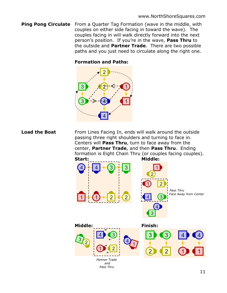**Ping Pong Circulate** From a Quarter Tag Formation (wave in the middle, with couples on either side facing in toward the wave). The couples facing in will walk directly forward into the next person's position. If you're in the wave, **Pass Thru** to the outside and **Partner Trade**. There are two possible paths and you just need to circulate along the right one.

### **Formation and Paths:**



**Load the Boat** From Lines Facing In, ends will walk around the outside passing three right shoulders and turning to face in. Centers will **Pass Thru**, turn to face away from the center, **Partner Trade**, and then **Pass Thru**. Ending formation is Eight Chain Thru (or couples facing couples).

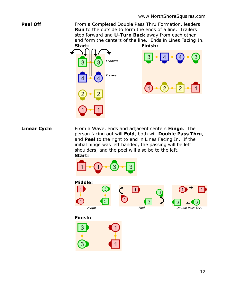**Peel Off** From a Completed Double Pass Thru Formation, leaders **Run** to the outside to form the ends of a line. Trailers step forward and **U-Turn Back** away from each other and form the centers of the line. Ends in Lines Facing In.



**Linear Cycle** From a Wave, ends and adjacent centers **Hinge**. The person facing out will **Fold**, both will **Double Pass Thru**, and **Peel** to the right to end in Lines Facing In. If the initial hinge was left handed, the passing will be left shoulders, and the peel will also be to the left. **Start:**

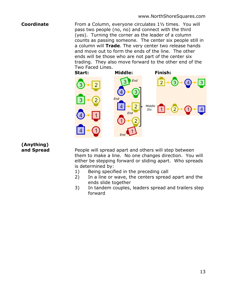### **Coordinate** From a Column, everyone circulates 1<sup>1</sup>/<sub>2</sub> times. You will pass two people (no, no) and connect with the third (yes). Turning the corner as the leader of a column counts as passing someone. The center six people still in a column will **Trade**. The very center two release hands and move out to form the ends of the line. The other ends will be those who are not part of the center six trading. They also move forward to the other end of the Two Faced Lines.



# **(Anything)**

**and Spread** People will spread apart and others will step between them to make a line. No one changes direction. You will either be stepping forward or sliding apart. Who spreads is determined by:

- 1) Being specified in the preceding call
- 2) In a line or wave, the centers spread apart and the ends slide together
- 3) In tandem couples, leaders spread and trailers step forward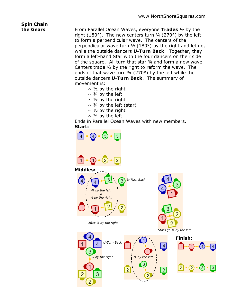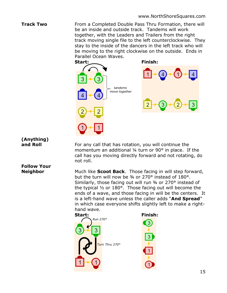**Track Two** From a Completed Double Pass Thru Formation, there will be an inside and outside track. Tandems will work together, with the Leaders and Trailers from the right track moving single file to the left counterclockwise. They stay to the inside of the dancers in the left track who will be moving to the right clockwise on the outside. Ends in Parallel Ocean Waves.



# **(Anything)**

**Follow Your** 

**and Roll** For any call that has rotation, you will continue the momentum an additional ¼ turn or 90° in place. If the call has you moving directly forward and not rotating, do not roll.

**Neighbor** Much like **Scoot Back**. Those facing in will step forward, but the turn will now be ¾ or 270° instead of 180°. Similarly, those facing out will run 3/4 or 270° instead of the typical ½ or 180°. Those facing out will become the ends of a wave, and those facing in will be the centers. It is a left-hand wave unless the caller adds "**And Spread**" in which case everyone shifts slightly left to make a righthand wave.

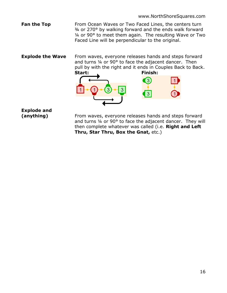**Fan the Top** From Ocean Waves or Two Faced Lines, the centers turn ¾ or 270° by walking forward and the ends walk forward ¼ or 90° to meet them again. The resulting Wave or Two Faced Line will be perpendicular to the original.

**Explode the Wave** From waves, everyone releases hands and steps forward and turns ¼ or 90° to face the adjacent dancer. Then pull by with the right and it ends in Couples Back to Back.



**Explode and** 

**(anything)** From waves, everyone releases hands and steps forward and turns ¼ or 90° to face the adjacent dancer. They will then complete whatever was called (i.e. **Right and Left Thru, Star Thru, Box the Gnat,** etc.)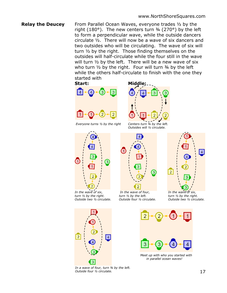### **Relay the Deucey** From Parallel Ocean Waves, everyone trades 1/2 by the right (180 $^{\circ}$ ). The new centers turn  $\frac{3}{4}$  (270 $^{\circ}$ ) by the left to form a perpendicular wave, while the outside dancers circulate ½. There will now be a wave of six dancers and two outsides who will be circulating. The wave of six will turn ½ by the right. Those finding themselves on the outsides will half-circulate while the four still in the wave will turn ½ by the left. There will be a new wave of six who turn  $\frac{1}{2}$  by the right. Four will turn  $\frac{3}{4}$  by the left while the others half-circulate to finish with the one they started with

### **Start: Middle:**



*Everyone turns ½ by the right Centers turn ¾ by the left.* 



 *In the wave of six, In the wave of four, In the wave of six, turn ½ by the right. turn ½ by the left. turn ½ by the right.*



*Outsides will ½ circulate.* 



 *Outside two ½ circulate. Outside four ½ circulate. Outside two ½ circulate.*



*In a wave of four, turn ¾ by the left. Outside four ½ circulate.*



*Meet up with who you started with* *in parallel ocean waves!*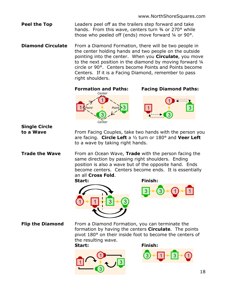**Peel the Top** Leaders peel off as the trailers step forward and take hands. From this wave, centers turn 34 or 270° while those who peeled off (ends) move forward ¼ or 90°.

**Diamond Circulate** From a Diamond Formation, there will be two people in the center holding hands and two people on the outside pointing into the center. When you **Circulate**, you move to the next position in the diamond by moving forward ¼ circle or 90°. Centers become Points and Points become Centers. If it is a Facing Diamond, remember to pass right shoulders.

**Formation and Paths: Facing Diamond Paths:**



**Single Circle** 

**to a Wave** From Facing Couples, take two hands with the person you are facing. **Circle Left** a ½ turn or 180° and **Veer Left** to a wave by taking right hands.

**Trade the Wave** From an Ocean Wave, Trade with the person facing the same direction by passing right shoulders. Ending position is also a wave but of the opposite hand. Ends become centers. Centers become ends. It is essentially an all **Cross Fold**.







**Flip the Diamond** From a Diamond Formation, you can terminate the formation by having the centers **Circulate**. The points pivot 180° on their inside foot to become the centers of the resulting wave.





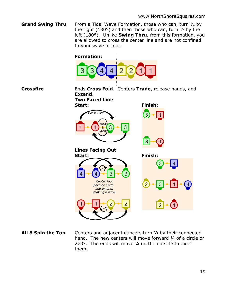**Grand Swing Thru** From a Tidal Wave Formation, those who can, turn 1/2 by the right (180°) and then those who can, turn ½ by the left (180°). Unlike **Swing Thru**, from this formation, you are allowed to cross the center line and are not confined to your wave of four.



**All 8 Spin the Top** Centers and adjacent dancers turn 1/2 by their connected hand. The new centers will move forward 34 of a circle or 270°. The ends will move ¼ on the outside to meet them.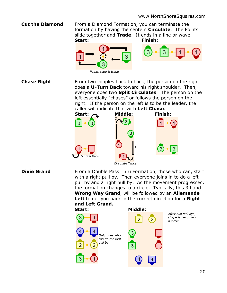**Cut the Diamond** From a Diamond Formation, you can terminate the formation by having the centers **Circulate**. The Points slide together and **Trade**. It ends in a line or wave. **Start: Finish:**





*Points slide & trade*

**Chase Right** From two couples back to back, the person on the right does a **U-Turn Back** toward his right shoulder. Then, everyone does two **Split Circulates**. The person on the left essentially "chases" or follows the person on the right. If the person on the left is to be the leader, the caller will indicate that with **Left Chase**.



**Dixie Grand** From a Double Pass Thru Formation, those who can, start with a right pull by. Then everyone joins in to do a left pull by and a right pull by. As the movement progresses, the formation changes to a circle. Typically, this 3 hand **Wrong Way Grand**, will be followed by an **Allemande Left** to get you back in the correct direction for a **Right and Left Grand.**